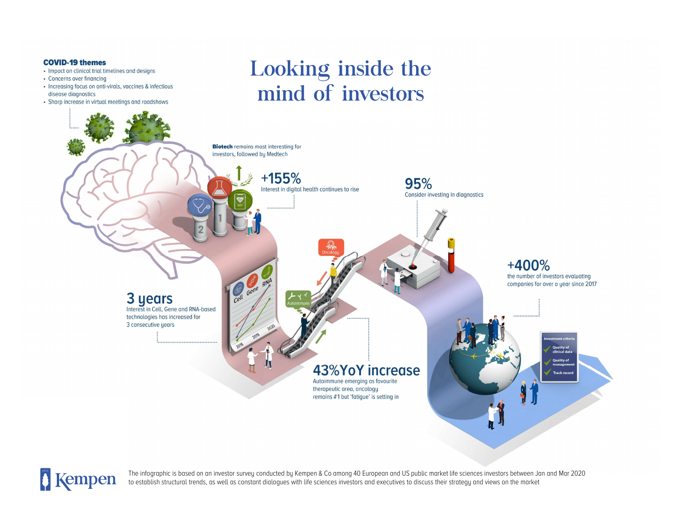#### **COVID-19 themes**

- Impact on clinical trial timelines and designs
- Concerns over financing
- Increasing focus on anti-virals, vaccines & infectious disease diagnostics
- Sharp increase in virtual meetings and roadshows

## Looking inside the mind of investors





The infographic is based on an investor survey conducted by Kempen & Co among 40 European and US public market life sciences investors between Jan and Mar 2020 to establish structural trends, as well as constant dialogues with life sciences investors and executives to discuss their strategy and views on the market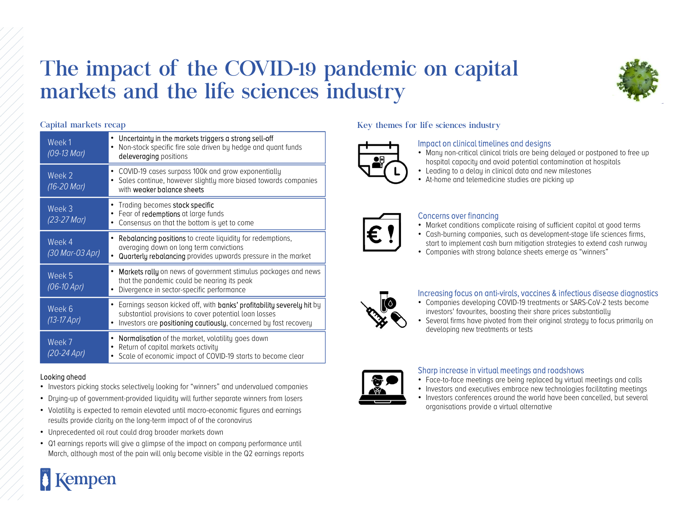### The impact of the COVID-19 pandemic on capital markets and the life sciences industry



| Week1<br>$(09-13$ Mar)    | • Uncertainty in the markets triggers a strong sell-off<br>Non-stock specific fire sale driven by hedge and quant funds<br>deleveraging positions                                                  |  |
|---------------------------|----------------------------------------------------------------------------------------------------------------------------------------------------------------------------------------------------|--|
| Week 2<br>$(16-20$ Mar)   | • COVID-19 cases surpass 100k and grow exponentially<br>Sales continue, however slightly more biased towards companies<br>with weaker balance sheets                                               |  |
| Week 3<br>(23-27 Mar)     | • Trading becomes stock specific<br>• Fear of redemptions at large funds<br>Consensus on that the bottom is yet to come                                                                            |  |
| Week 4<br>(30 Mar-03 Apr) | <b>Rebalancing positions</b> to create liquidity for redemptions,<br>averaging down on long term convictions<br>Quarterly rebalancing provides upwards pressure in the market                      |  |
| Week 5<br>$(06 - 10$ Apr) | <b>Markets rally</b> on news of government stimulus packages and news<br>that the pandemic could be nearing its peak<br>Divergence in sector-specific performance                                  |  |
| Week 6<br>$(13-17$ Apr)   | Earnings season kicked off, with banks' profitability severely hit by<br>substantial provisions to cover potential loan losses<br>Investors are positioning cautiously, concerned by fast recovery |  |
| Week 7<br>(20-24 Apr)     | • Normalisation of the market, volatility goes down<br>Return of capital markets activity<br>• Scale of economic impact of COVID-19 starts to become clear                                         |  |

#### Looking ahead

**A** Kempen

- Investors picking stocks selectively looking for "winners" and undervalued companies
- Drying-up of government-provided liquidity will further separate winners from losers
- Volatility is expected to remain elevated until macro-economic figures and earnings results provide clarity on the long-term impact of of the coronavirus
- Unprecedented oil rout could drag broader markets down
- Q1 earnings reports will give a glimpse of the impact on company performance until March, although most of the pain will only become visible in the Q2 earnings reports

#### Capital markets recap and the set of the sciences industry and the set of the sciences industry



#### Impact on clinical timelines and designs

- Many non-critical clinical trials are being delayed or postponed to free up hospital capacity and avoid potential contamination at hospitals
- Leading to a delay in clinical data and new milestones
- At-home and telemedicine studies are picking up



#### Concerns over financing

- Market conditions complicate raising of sufficient capital at good terms
- Cash-burning companies, such as development-stage life sciences firms, start to implement cash burn mitigation strategies to extend cash runway
- Companies with strong balance sheets emerge as "winners"



#### Increasing focus on anti-virals, vaccines & infectious disease diagnostics

- Companies developing COVID-19 treatments or SARS-CoV-2 tests become investors' favourites, boosting their share prices substantially
- Several firms have pivoted from their original strategy to focus primarily on developing new treatments or tests



#### Sharp increase in virtual meetings and roadshows

- Face-to-face meetings are being replaced by virtual meetings and calls
- Investors and executives embrace new technologies facilitating meetings
- Investors conferences around the world have been cancelled, but several organisations provide a virtual alternative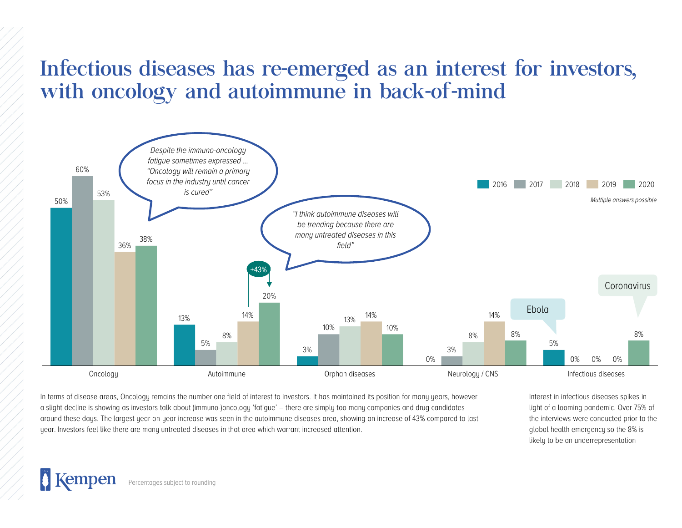# Infectious diseases has re-emerged as an interest for investors,



around these days. The largest year-on-year increase was seen in the autoimmune diseases area, showing an increase of 43% compared to last year. Investors feel like there are many untreated diseases in that area which warrant increased attention.

Interest in infectious diseases spikes in light of a looming pandemic. Over 75% of the interviews were conducted prior to the global health emergency so the 8% is likely to be an underrepresentation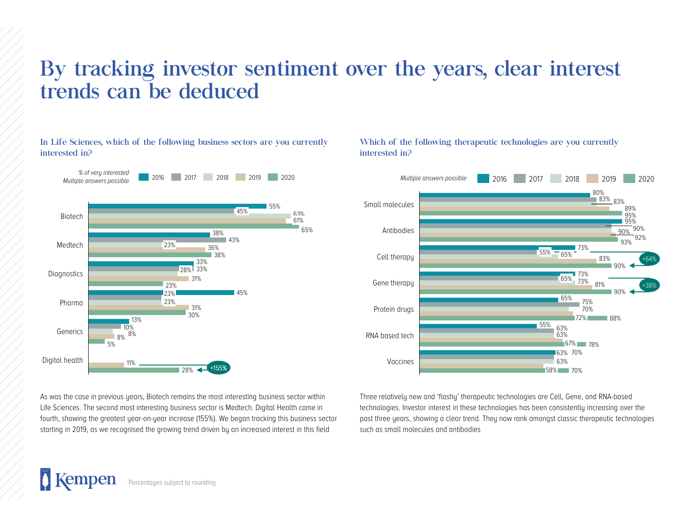# By tracking investor sentiment over the years, clear interest<br>trends can be deduced<br>the bilances of the following business sectors are you currently<br>interested in?<br>interested in?<br> $\frac{1}{2}$  which of the following therapeut By tracking investor sentiment over the year<br>trends can be deduced<br>the sciences, which of the following business sectors are you currently<br>interested in?<br>Mattiple answers,possible<br> $\blacksquare$ <br>Mattiple answers,possible<br> $\blacksquare$ <br>

In Life Sciences, which of the following business sectors are you currently interested in?



Which of the following therapeutic technologies are you currently interested in?



As was the case in previous years, Biotech remains the most interesting business sector within Life Sciences. The second most interesting business sector is Medtech. Digital Health came in fourth, showing the greatest year-on-year increase (155%). We began tracking this business sector starting in 2019, as we recognised the growing trend driven by an increased interest in this field

Three relatively new and 'flashy' therapeutic technologies are Cell, Gene, and RNA-based technologies. Investor interest in these technologies has been consistently increasing over the past three years, showing a clear trend. They now rank amongst classic therapeutic technologies such as small molecules and antibodies